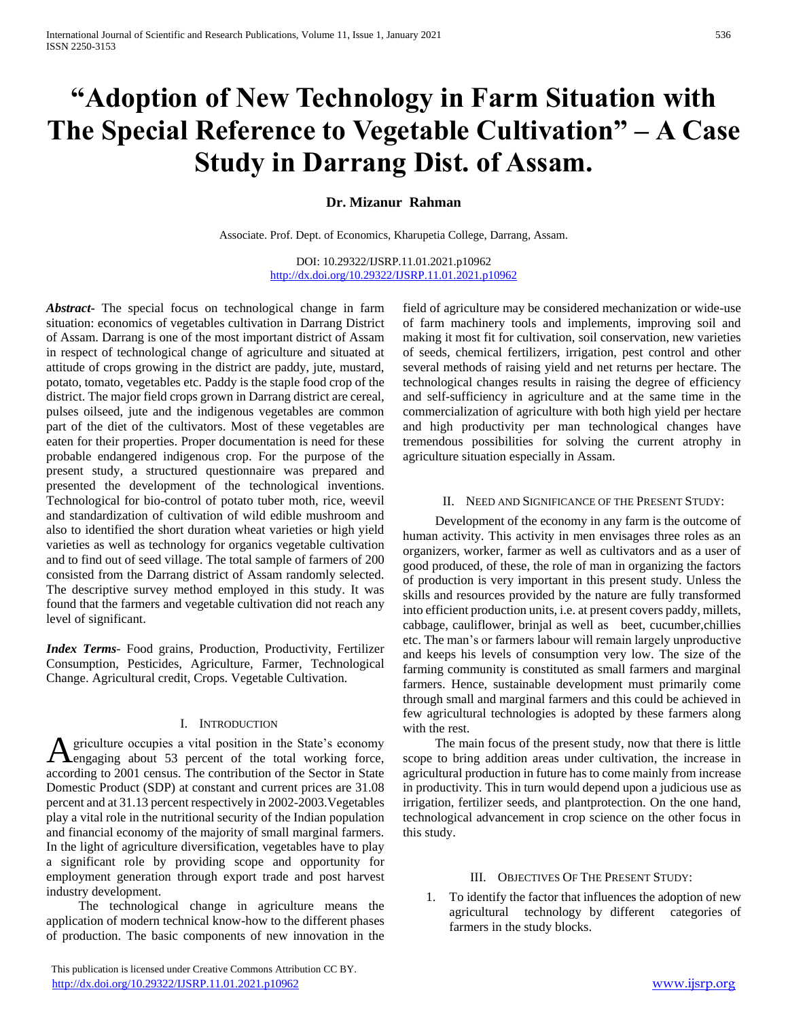# **"Adoption of New Technology in Farm Situation with The Special Reference to Vegetable Cultivation" – A Case Study in Darrang Dist. of Assam.**

# **Dr. Mizanur Rahman**

Associate. Prof. Dept. of Economics, Kharupetia College, Darrang, Assam.

DOI: 10.29322/IJSRP.11.01.2021.p10962 <http://dx.doi.org/10.29322/IJSRP.11.01.2021.p10962>

*Abstract***-** The special focus on technological change in farm situation: economics of vegetables cultivation in Darrang District of Assam. Darrang is one of the most important district of Assam in respect of technological change of agriculture and situated at attitude of crops growing in the district are paddy, jute, mustard, potato, tomato, vegetables etc. Paddy is the staple food crop of the district. The major field crops grown in Darrang district are cereal, pulses oilseed, jute and the indigenous vegetables are common part of the diet of the cultivators. Most of these vegetables are eaten for their properties. Proper documentation is need for these probable endangered indigenous crop. For the purpose of the present study, a structured questionnaire was prepared and presented the development of the technological inventions. Technological for bio-control of potato tuber moth, rice, weevil and standardization of cultivation of wild edible mushroom and also to identified the short duration wheat varieties or high yield varieties as well as technology for organics vegetable cultivation and to find out of seed village. The total sample of farmers of 200 consisted from the Darrang district of Assam randomly selected. The descriptive survey method employed in this study. It was found that the farmers and vegetable cultivation did not reach any level of significant.

*Index Terms*- Food grains, Production, Productivity, Fertilizer Consumption, Pesticides, Agriculture, Farmer, Technological Change. Agricultural credit, Crops. Vegetable Cultivation.

#### I. INTRODUCTION

griculture occupies a vital position in the State's economy A griculture occupies a vital position in the State's economy<br>
engaging about 53 percent of the total working force, according to 2001 census. The contribution of the Sector in State Domestic Product (SDP) at constant and current prices are 31.08 percent and at 31.13 percent respectively in 2002-2003.Vegetables play a vital role in the nutritional security of the Indian population and financial economy of the majority of small marginal farmers. In the light of agriculture diversification, vegetables have to play a significant role by providing scope and opportunity for employment generation through export trade and post harvest industry development.

 The technological change in agriculture means the application of modern technical know-how to the different phases of production. The basic components of new innovation in the

 This publication is licensed under Creative Commons Attribution CC BY. <http://dx.doi.org/10.29322/IJSRP.11.01.2021.p10962> [www.ijsrp.org](http://ijsrp.org/)

field of agriculture may be considered mechanization or wide-use of farm machinery tools and implements, improving soil and making it most fit for cultivation, soil conservation, new varieties of seeds, chemical fertilizers, irrigation, pest control and other several methods of raising yield and net returns per hectare. The technological changes results in raising the degree of efficiency and self-sufficiency in agriculture and at the same time in the commercialization of agriculture with both high yield per hectare and high productivity per man technological changes have tremendous possibilities for solving the current atrophy in agriculture situation especially in Assam.

#### II. NEED AND SIGNIFICANCE OF THE PRESENT STUDY:

 Development of the economy in any farm is the outcome of human activity. This activity in men envisages three roles as an organizers, worker, farmer as well as cultivators and as a user of good produced, of these, the role of man in organizing the factors of production is very important in this present study. Unless the skills and resources provided by the nature are fully transformed into efficient production units, i.e. at present covers paddy, millets, cabbage, cauliflower, brinjal as well as beet, cucumber,chillies etc. The man's or farmers labour will remain largely unproductive and keeps his levels of consumption very low. The size of the farming community is constituted as small farmers and marginal farmers. Hence, sustainable development must primarily come through small and marginal farmers and this could be achieved in few agricultural technologies is adopted by these farmers along with the rest.

 The main focus of the present study, now that there is little scope to bring addition areas under cultivation, the increase in agricultural production in future has to come mainly from increase in productivity. This in turn would depend upon a judicious use as irrigation, fertilizer seeds, and plantprotection. On the one hand, technological advancement in crop science on the other focus in this study.

#### III. OBJECTIVES OF THE PRESENT STUDY:

1. To identify the factor that influences the adoption of new agricultural technology by different categories of farmers in the study blocks.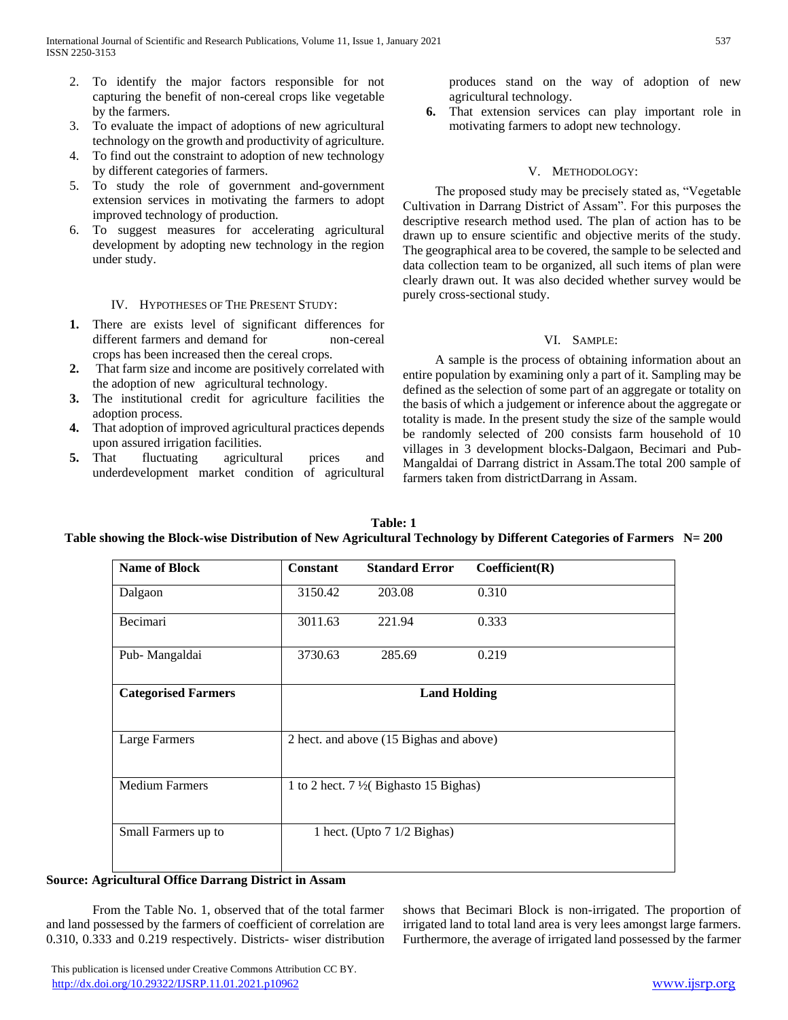- 2. To identify the major factors responsible for not capturing the benefit of non-cereal crops like vegetable by the farmers.
- 3. To evaluate the impact of adoptions of new agricultural technology on the growth and productivity of agriculture.
- 4. To find out the constraint to adoption of new technology by different categories of farmers.
- 5. To study the role of government and-government extension services in motivating the farmers to adopt improved technology of production.
- 6. To suggest measures for accelerating agricultural development by adopting new technology in the region under study.

# IV. HYPOTHESES OF THE PRESENT STUDY:

- **1.** There are exists level of significant differences for different farmers and demand for non-cereal crops has been increased then the cereal crops.
- **2.** That farm size and income are positively correlated with the adoption of new agricultural technology.
- **3.** The institutional credit for agriculture facilities the adoption process.
- **4.** That adoption of improved agricultural practices depends upon assured irrigation facilities.
- **5.** That fluctuating agricultural prices and underdevelopment market condition of agricultural

produces stand on the way of adoption of new agricultural technology.

**6.** That extension services can play important role in motivating farmers to adopt new technology.

# V. METHODOLOGY:

 The proposed study may be precisely stated as, "Vegetable Cultivation in Darrang District of Assam". For this purposes the descriptive research method used. The plan of action has to be drawn up to ensure scientific and objective merits of the study. The geographical area to be covered, the sample to be selected and data collection team to be organized, all such items of plan were clearly drawn out. It was also decided whether survey would be purely cross-sectional study.

# VI. SAMPLE:

 A sample is the process of obtaining information about an entire population by examining only a part of it. Sampling may be defined as the selection of some part of an aggregate or totality on the basis of which a judgement or inference about the aggregate or totality is made. In the present study the size of the sample would be randomly selected of 200 consists farm household of 10 villages in 3 development blocks-Dalgaon, Becimari and Pub-Mangaldai of Darrang district in Assam.The total 200 sample of farmers taken from districtDarrang in Assam.

| <b>Name of Block</b>       | <b>Constant</b>                                 | <b>Standard Error</b>        | Coefficient(R) |  |  |
|----------------------------|-------------------------------------------------|------------------------------|----------------|--|--|
| Dalgaon                    | 3150.42                                         | 203.08                       | 0.310          |  |  |
| Becimari                   | 3011.63                                         | 221.94                       | 0.333          |  |  |
| Pub-Mangaldai              | 3730.63                                         | 285.69                       | 0.219          |  |  |
| <b>Categorised Farmers</b> | <b>Land Holding</b>                             |                              |                |  |  |
| Large Farmers              | 2 hect. and above (15 Bighas and above)         |                              |                |  |  |
| <b>Medium Farmers</b>      | 1 to 2 hect. $7\frac{1}{2}$ Bighasto 15 Bighas) |                              |                |  |  |
| Small Farmers up to        |                                                 | 1 hect. (Upto $71/2$ Bighas) |                |  |  |

## **Table: 1 Table showing the Block-wise Distribution of New Agricultural Technology by Different Categories of Farmers N= 200**

## **Source: Agricultural Office Darrang District in Assam**

From the Table No. 1, observed that of the total farmer and land possessed by the farmers of coefficient of correlation are 0.310, 0.333 and 0.219 respectively. Districts- wiser distribution shows that Becimari Block is non-irrigated. The proportion of irrigated land to total land area is very lees amongst large farmers. Furthermore, the average of irrigated land possessed by the farmer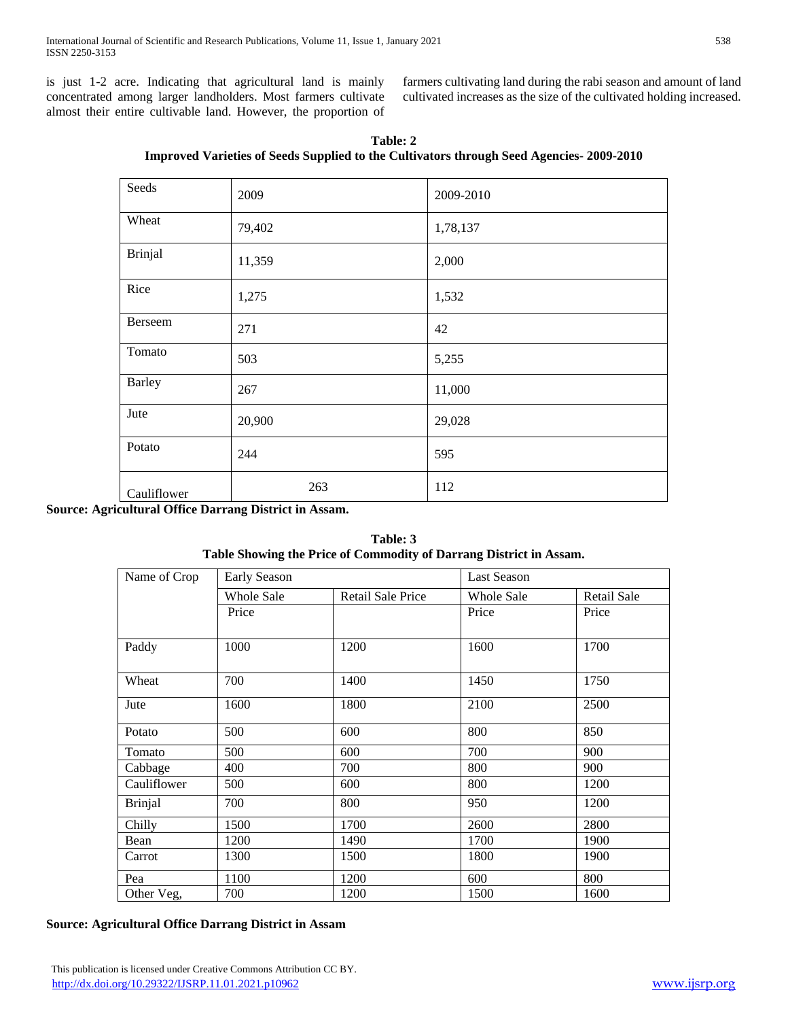is just 1-2 acre. Indicating that agricultural land is mainly concentrated among larger landholders. Most farmers cultivate almost their entire cultivable land. However, the proportion of farmers cultivating land during the rabi season and amount of land cultivated increases as the size of the cultivated holding increased.

| Table: 2                                                                                       |
|------------------------------------------------------------------------------------------------|
| <b>Improved Varieties of Seeds Supplied to the Cultivators through Seed Agencies-2009-2010</b> |

| Seeds         | 2009   | 2009-2010 |
|---------------|--------|-----------|
| Wheat         | 79,402 | 1,78,137  |
| Brinjal       | 11,359 | 2,000     |
| Rice          | 1,275  | 1,532     |
| Berseem       | 271    | 42        |
| Tomato        | 503    | 5,255     |
| <b>Barley</b> | 267    | 11,000    |
| Jute          | 20,900 | 29,028    |
| Potato        | 244    | 595       |
| Cauliflower   | 263    | 112       |

**Source: Agricultural Office Darrang District in Assam.**

**Table: 3 Table Showing the Price of Commodity of Darrang District in Assam.**

| Name of Crop   | Early Season |                   | <b>Last Season</b> |                    |
|----------------|--------------|-------------------|--------------------|--------------------|
|                | Whole Sale   | Retail Sale Price | Whole Sale         | <b>Retail Sale</b> |
|                | Price        |                   | Price              | Price              |
| Paddy          | 1000         | 1200              | 1600               | 1700               |
| Wheat          | 700          | 1400              | 1450               | 1750               |
| Jute           | 1600         | 1800              | 2100               | 2500               |
| Potato         | 500          | 600               | 800                | 850                |
| Tomato         | 500          | 600               | 700                | 900                |
| Cabbage        | 400          | 700               | 800                | 900                |
| Cauliflower    | 500          | 600               | 800                | 1200               |
| <b>Brinjal</b> | 700          | 800               | 950                | 1200               |
| Chilly         | 1500         | 1700              | 2600               | 2800               |
| Bean           | 1200         | 1490              | 1700               | 1900               |
| Carrot         | 1300         | 1500              | 1800               | 1900               |
| Pea            | 1100         | 1200              | 600                | 800                |
| Other Veg,     | 700          | 1200              | 1500               | 1600               |

# **Source: Agricultural Office Darrang District in Assam**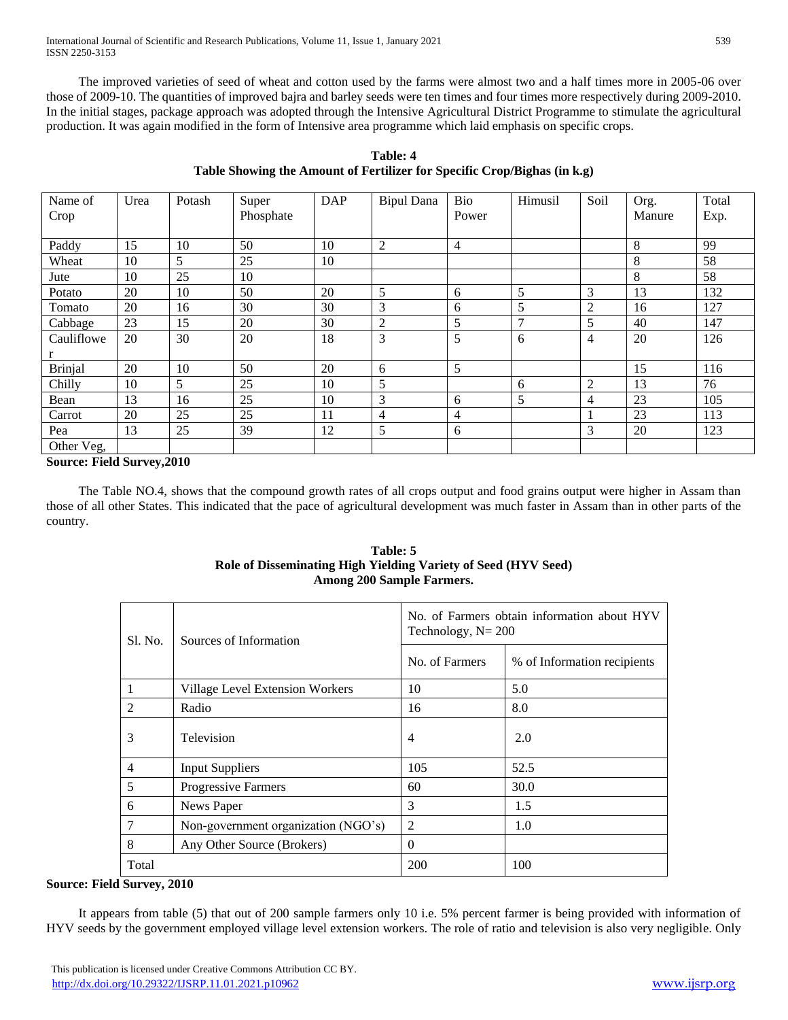The improved varieties of seed of wheat and cotton used by the farms were almost two and a half times more in 2005-06 over those of 2009-10. The quantities of improved bajra and barley seeds were ten times and four times more respectively during 2009-2010. In the initial stages, package approach was adopted through the Intensive Agricultural District Programme to stimulate the agricultural production. It was again modified in the form of Intensive area programme which laid emphasis on specific crops.

| Name of        | Urea | Potash | Super     | <b>DAP</b> | <b>Bipul Dana</b> | Bio            | Himusil        | Soil           | Org.   | Total |
|----------------|------|--------|-----------|------------|-------------------|----------------|----------------|----------------|--------|-------|
| Crop           |      |        | Phosphate |            |                   | Power          |                |                | Manure | Exp.  |
|                |      |        |           |            |                   |                |                |                |        |       |
| Paddy          | 15   | 10     | 50        | 10         | 2                 | $\overline{4}$ |                |                | 8      | 99    |
| Wheat          | 10   | 5      | 25        | 10         |                   |                |                |                | 8      | 58    |
| Jute           | 10   | 25     | 10        |            |                   |                |                |                | 8      | 58    |
| Potato         | 20   | 10     | 50        | 20         | 5                 | 6              | 5              | 3              | 13     | 132   |
| Tomato         | 20   | 16     | 30        | 30         | 3                 | 6              | 5              | 2              | 16     | 127   |
| Cabbage        | 23   | 15     | 20        | 30         | 2                 | 5              | $\overline{7}$ | 5              | 40     | 147   |
| Cauliflowe     | 20   | 30     | 20        | 18         | 3                 | 5              | 6              | $\overline{4}$ | 20     | 126   |
| r              |      |        |           |            |                   |                |                |                |        |       |
| <b>Brinjal</b> | 20   | 10     | 50        | 20         | 6                 | 5              |                |                | 15     | 116   |
| Chilly         | 10   | 5      | 25        | 10         | 5                 |                | 6              | $\overline{2}$ | 13     | 76    |
| Bean           | 13   | 16     | 25        | 10         | 3                 | 6              | 5              | $\overline{4}$ | 23     | 105   |
| Carrot         | 20   | 25     | 25        | 11         | $\overline{4}$    | $\overline{4}$ |                |                | 23     | 113   |
| Pea            | 13   | 25     | 39        | 12         | 5                 | 6              |                | 3              | 20     | 123   |
| Other Veg,     |      |        |           |            |                   |                |                |                |        |       |

**Table: 4 Table Showing the Amount of Fertilizer for Specific Crop/Bighas (in k.g)**

# **Source: Field Survey,2010**

 The Table NO.4, shows that the compound growth rates of all crops output and food grains output were higher in Assam than those of all other States. This indicated that the pace of agricultural development was much faster in Assam than in other parts of the country.

# **Table: 5 Role of Disseminating High Yielding Variety of Seed (HYV Seed) Among 200 Sample Farmers.**

| Sl. No.       | Sources of Information              | No. of Farmers obtain information about HYV<br>Technology, $N = 200$ |                             |  |
|---------------|-------------------------------------|----------------------------------------------------------------------|-----------------------------|--|
|               |                                     | No. of Farmers                                                       | % of Information recipients |  |
|               | Village Level Extension Workers     | 10                                                                   | 5.0                         |  |
| $\mathcal{L}$ | Radio                               | 16                                                                   | 8.0                         |  |
| 3             | Television                          | $\overline{4}$                                                       | 2.0                         |  |
| 4             | <b>Input Suppliers</b>              | 105                                                                  | 52.5                        |  |
| 5             | Progressive Farmers                 | 60                                                                   | 30.0                        |  |
| 6             | News Paper                          | 3                                                                    | 1.5                         |  |
|               | Non-government organization (NGO's) | 2                                                                    | 1.0                         |  |
| 8             | Any Other Source (Brokers)          | $\Omega$                                                             |                             |  |
| Total         |                                     | 200                                                                  | 100                         |  |

## **Source: Field Survey, 2010**

 It appears from table (5) that out of 200 sample farmers only 10 i.e. 5% percent farmer is being provided with information of HYV seeds by the government employed village level extension workers. The role of ratio and television is also very negligible. Only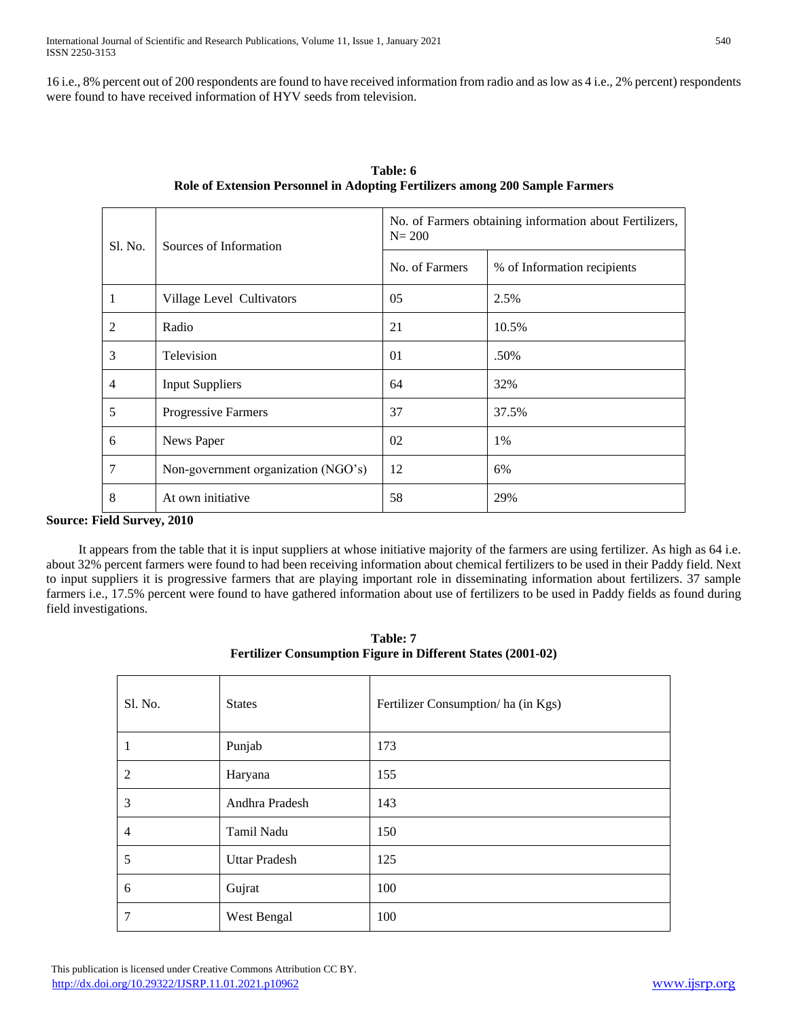16 i.e., 8% percent out of 200 respondents are found to have received information from radio and as low as 4 i.e., 2% percent) respondents were found to have received information of HYV seeds from television.

| Sl. No.        | Sources of Information              | No. of Farmers obtaining information about Fertilizers,<br>$N = 200$ |                             |  |
|----------------|-------------------------------------|----------------------------------------------------------------------|-----------------------------|--|
|                |                                     | No. of Farmers                                                       | % of Information recipients |  |
| -1             | Village Level Cultivators           | 05                                                                   | 2.5%                        |  |
| 2              | Radio                               | 21                                                                   | 10.5%                       |  |
| 3              | Television                          | 01                                                                   | .50%                        |  |
| $\overline{4}$ | <b>Input Suppliers</b>              | 64                                                                   | 32%                         |  |
| 5              | Progressive Farmers                 | 37                                                                   | 37.5%                       |  |
| 6              | News Paper                          | 02                                                                   | 1%                          |  |
| 7              | Non-government organization (NGO's) | 12                                                                   | 6%                          |  |
| 8              | At own initiative                   | 58                                                                   | 29%                         |  |

**Table: 6 Role of Extension Personnel in Adopting Fertilizers among 200 Sample Farmers**

# **Source: Field Survey, 2010**

 It appears from the table that it is input suppliers at whose initiative majority of the farmers are using fertilizer. As high as 64 i.e. about 32% percent farmers were found to had been receiving information about chemical fertilizers to be used in their Paddy field. Next to input suppliers it is progressive farmers that are playing important role in disseminating information about fertilizers. 37 sample farmers i.e., 17.5% percent were found to have gathered information about use of fertilizers to be used in Paddy fields as found during field investigations.

| Sl. No.        | <b>States</b>        | Fertilizer Consumption/ ha (in Kgs) |
|----------------|----------------------|-------------------------------------|
| л              | Punjab               | 173                                 |
| 2              | Haryana              | 155                                 |
| 3              | Andhra Pradesh       | 143                                 |
| $\overline{4}$ | Tamil Nadu           | 150                                 |
| 5              | <b>Uttar Pradesh</b> | 125                                 |
| 6              | Gujrat               | 100                                 |
| 7              | West Bengal          | 100                                 |

**Table: 7 Fertilizer Consumption Figure in Different States (2001-02)**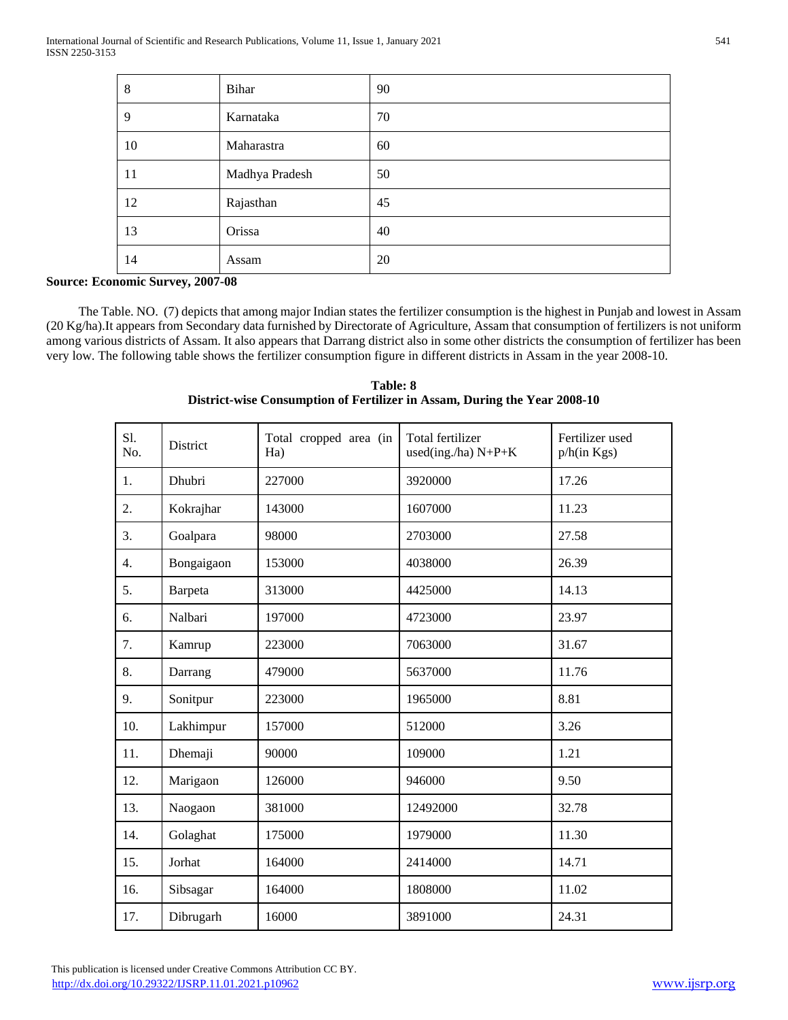| 8  | Bihar          | 90 |
|----|----------------|----|
| 9  | Karnataka      | 70 |
| 10 | Maharastra     | 60 |
| 11 | Madhya Pradesh | 50 |
| 12 | Rajasthan      | 45 |
| 13 | Orissa         | 40 |
| 14 | Assam          | 20 |

### **Source: Economic Survey, 2007-08**

 The Table. NO. (7) depicts that among major Indian states the fertilizer consumption is the highest in Punjab and lowest in Assam (20 Kg/ha).It appears from Secondary data furnished by Directorate of Agriculture, Assam that consumption of fertilizers is not uniform among various districts of Assam. It also appears that Darrang district also in some other districts the consumption of fertilizer has been very low. The following table shows the fertilizer consumption figure in different districts in Assam in the year 2008-10.

| S1.<br>No. | District   | Total cropped area (in<br>Ha) | Total fertilizer<br>used(ing./ha) N+P+K | Fertilizer used<br>p/h(in Kgs) |
|------------|------------|-------------------------------|-----------------------------------------|--------------------------------|
| 1.         | Dhubri     | 227000                        | 3920000                                 | 17.26                          |
| 2.         | Kokrajhar  | 143000                        | 1607000                                 | 11.23                          |
| 3.         | Goalpara   | 98000                         | 2703000                                 | 27.58                          |
| 4.         | Bongaigaon | 153000                        | 4038000                                 | 26.39                          |
| 5.         | Barpeta    | 313000                        | 4425000                                 | 14.13                          |
| 6.         | Nalbari    | 197000                        | 4723000                                 | 23.97                          |
| 7.         | Kamrup     | 223000                        | 7063000                                 | 31.67                          |
| 8.         | Darrang    | 479000                        | 5637000                                 | 11.76                          |
| 9.         | Sonitpur   | 223000                        | 1965000                                 | 8.81                           |
| 10.        | Lakhimpur  | 157000                        | 512000                                  | 3.26                           |
| 11.        | Dhemaji    | 90000                         | 109000                                  | 1.21                           |
| 12.        | Marigaon   | 126000                        | 946000                                  | 9.50                           |
| 13.        | Naogaon    | 381000                        | 12492000                                | 32.78                          |
| 14.        | Golaghat   | 175000                        | 1979000                                 | 11.30                          |
| 15.        | Jorhat     | 164000                        | 2414000                                 | 14.71                          |
| 16.        | Sibsagar   | 164000                        | 1808000                                 | 11.02                          |
| 17.        | Dibrugarh  | 16000                         | 3891000                                 | 24.31                          |

**Table: 8 District-wise Consumption of Fertilizer in Assam, During the Year 2008-10**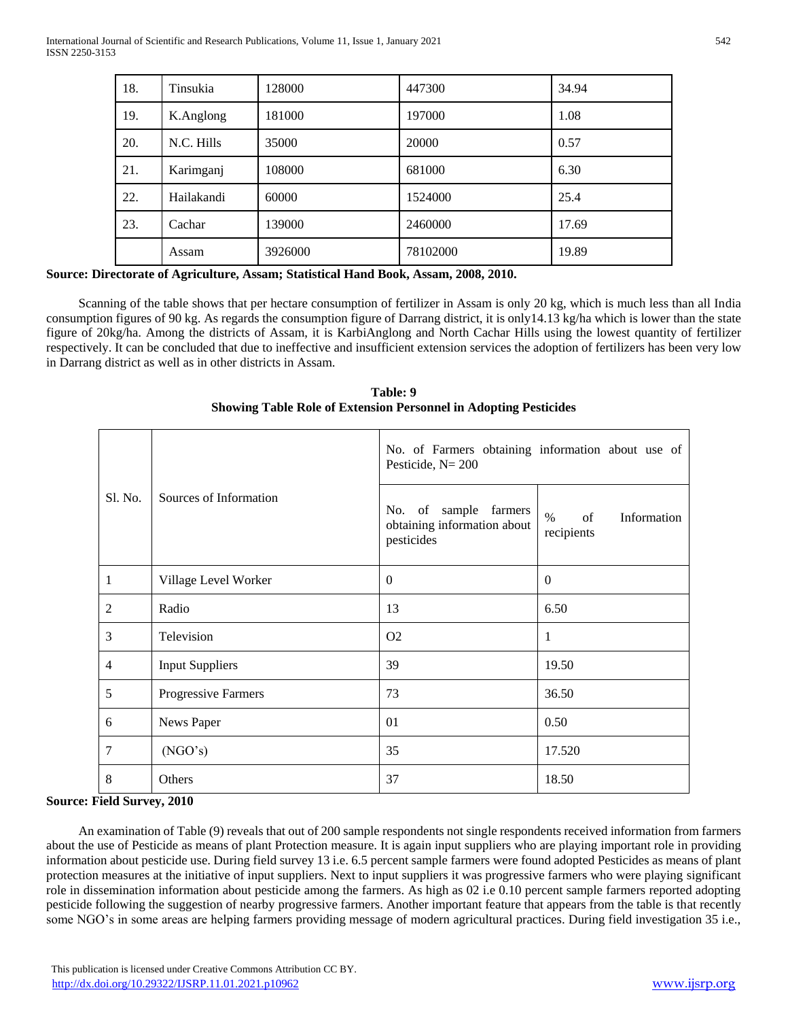| 18. | Tinsukia   | 128000  | 447300   | 34.94 |
|-----|------------|---------|----------|-------|
| 19. | K.Anglong  | 181000  | 197000   | 1.08  |
| 20. | N.C. Hills | 35000   | 20000    | 0.57  |
| 21. | Karimganj  | 108000  | 681000   | 6.30  |
| 22. | Hailakandi | 60000   | 1524000  | 25.4  |
| 23. | Cachar     | 139000  | 2460000  | 17.69 |
|     | Assam      | 3926000 | 78102000 | 19.89 |

## **Source: Directorate of Agriculture, Assam; Statistical Hand Book, Assam, 2008, 2010.**

 Scanning of the table shows that per hectare consumption of fertilizer in Assam is only 20 kg, which is much less than all India consumption figures of 90 kg. As regards the consumption figure of Darrang district, it is only14.13 kg/ha which is lower than the state figure of 20kg/ha. Among the districts of Assam, it is KarbiAnglong and North Cachar Hills using the lowest quantity of fertilizer respectively. It can be concluded that due to ineffective and insufficient extension services the adoption of fertilizers has been very low in Darrang district as well as in other districts in Assam.

**Table: 9 Showing Table Role of Extension Personnel in Adopting Pesticides**

| Sl. No.        | Sources of Information | No. of Farmers obtaining information about use of<br>Pesticide, $N = 200$ |                                         |  |
|----------------|------------------------|---------------------------------------------------------------------------|-----------------------------------------|--|
|                |                        | No. of sample farmers<br>obtaining information about<br>pesticides        | $\%$<br>Information<br>of<br>recipients |  |
| 1              | Village Level Worker   | $\Omega$                                                                  | $\Omega$                                |  |
| $\overline{2}$ | Radio                  | 13                                                                        | 6.50                                    |  |
| 3              | Television             | O <sub>2</sub>                                                            | 1                                       |  |
| $\overline{4}$ | <b>Input Suppliers</b> | 39                                                                        | 19.50                                   |  |
| 5              | Progressive Farmers    | 73                                                                        | 36.50                                   |  |
| 6              | News Paper             | 01                                                                        | 0.50                                    |  |
| 7              | (NGO's)                | 35                                                                        | 17.520                                  |  |
| 8              | Others                 | 37                                                                        | 18.50                                   |  |

# **Source: Field Survey, 2010**

 An examination of Table (9) reveals that out of 200 sample respondents not single respondents received information from farmers about the use of Pesticide as means of plant Protection measure. It is again input suppliers who are playing important role in providing information about pesticide use. During field survey 13 i.e. 6.5 percent sample farmers were found adopted Pesticides as means of plant protection measures at the initiative of input suppliers. Next to input suppliers it was progressive farmers who were playing significant role in dissemination information about pesticide among the farmers. As high as 02 i.e 0.10 percent sample farmers reported adopting pesticide following the suggestion of nearby progressive farmers. Another important feature that appears from the table is that recently some NGO's in some areas are helping farmers providing message of modern agricultural practices. During field investigation 35 i.e.,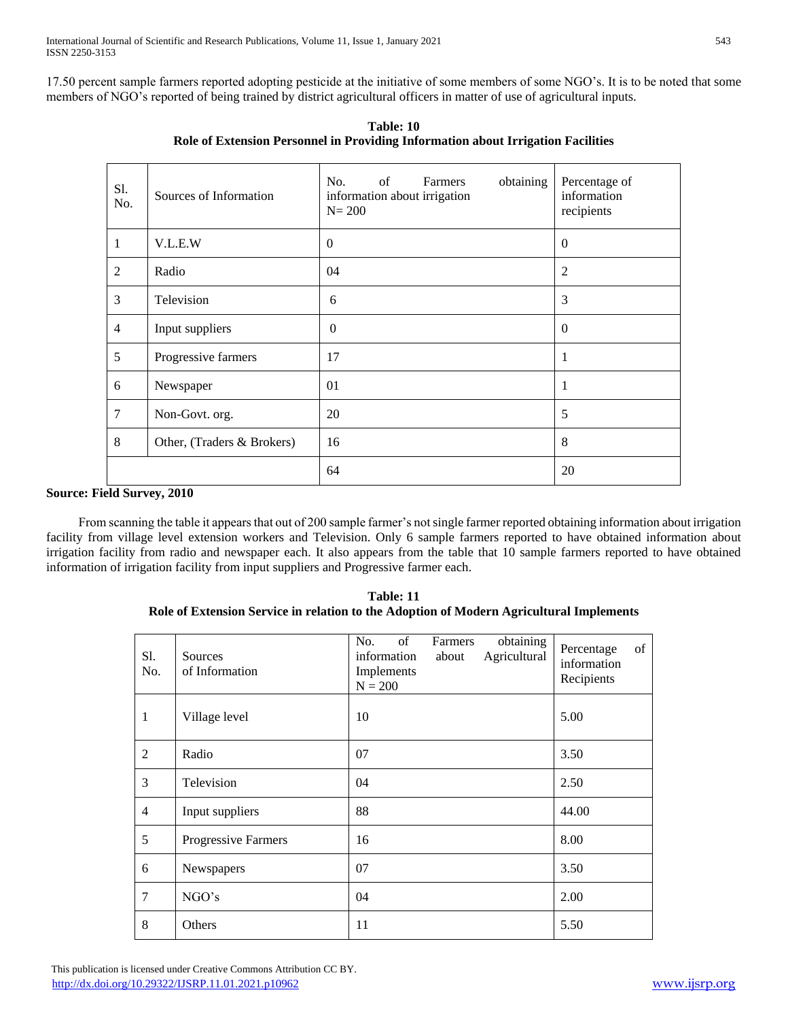17.50 percent sample farmers reported adopting pesticide at the initiative of some members of some NGO's. It is to be noted that some members of NGO's reported of being trained by district agricultural officers in matter of use of agricultural inputs.

| S1.<br>No.     | Sources of Information     | obtaining<br>No.<br>of<br>Farmers<br>information about irrigation<br>$N = 200$ | Percentage of<br>information<br>recipients |
|----------------|----------------------------|--------------------------------------------------------------------------------|--------------------------------------------|
| 1              | V.L.E.W                    | $\Omega$                                                                       | $\Omega$                                   |
| 2              | Radio                      | 04                                                                             | $\overline{2}$                             |
| 3              | Television                 | 6                                                                              | 3                                          |
| $\overline{4}$ | Input suppliers            | $\theta$                                                                       | $\theta$                                   |
| 5              | Progressive farmers        | 17                                                                             | 1                                          |
| 6              | Newspaper                  | 01                                                                             | 1                                          |
| 7              | Non-Govt. org.             | 20                                                                             | 5                                          |
| 8              | Other, (Traders & Brokers) | 16                                                                             | 8                                          |
|                |                            | 64                                                                             | 20                                         |

**Table: 10 Role of Extension Personnel in Providing Information about Irrigation Facilities**

# **Source: Field Survey, 2010**

 From scanning the table it appears that out of 200 sample farmer's not single farmer reported obtaining information about irrigation facility from village level extension workers and Television. Only 6 sample farmers reported to have obtained information about irrigation facility from radio and newspaper each. It also appears from the table that 10 sample farmers reported to have obtained information of irrigation facility from input suppliers and Progressive farmer each.

**Table: 11 Role of Extension Service in relation to the Adoption of Modern Agricultural Implements**

| Sl.<br>No.     | Sources<br>of Information | obtaining<br>of<br>No.<br>Farmers<br>Agricultural<br>information<br>about<br>Implements<br>$N = 200$ | of<br>Percentage<br>information<br>Recipients |
|----------------|---------------------------|------------------------------------------------------------------------------------------------------|-----------------------------------------------|
| $\mathbf{1}$   | Village level             | 10                                                                                                   | 5.00                                          |
| $\overline{2}$ | Radio                     | 07                                                                                                   | 3.50                                          |
| 3              | Television                | 04                                                                                                   | 2.50                                          |
| $\overline{4}$ | Input suppliers           | 88                                                                                                   | 44.00                                         |
| 5              | Progressive Farmers       | 16                                                                                                   | 8.00                                          |
| 6              | Newspapers                | 07                                                                                                   | 3.50                                          |
| 7              | NGO's                     | 04                                                                                                   | 2.00                                          |
| 8              | Others                    | 11                                                                                                   | 5.50                                          |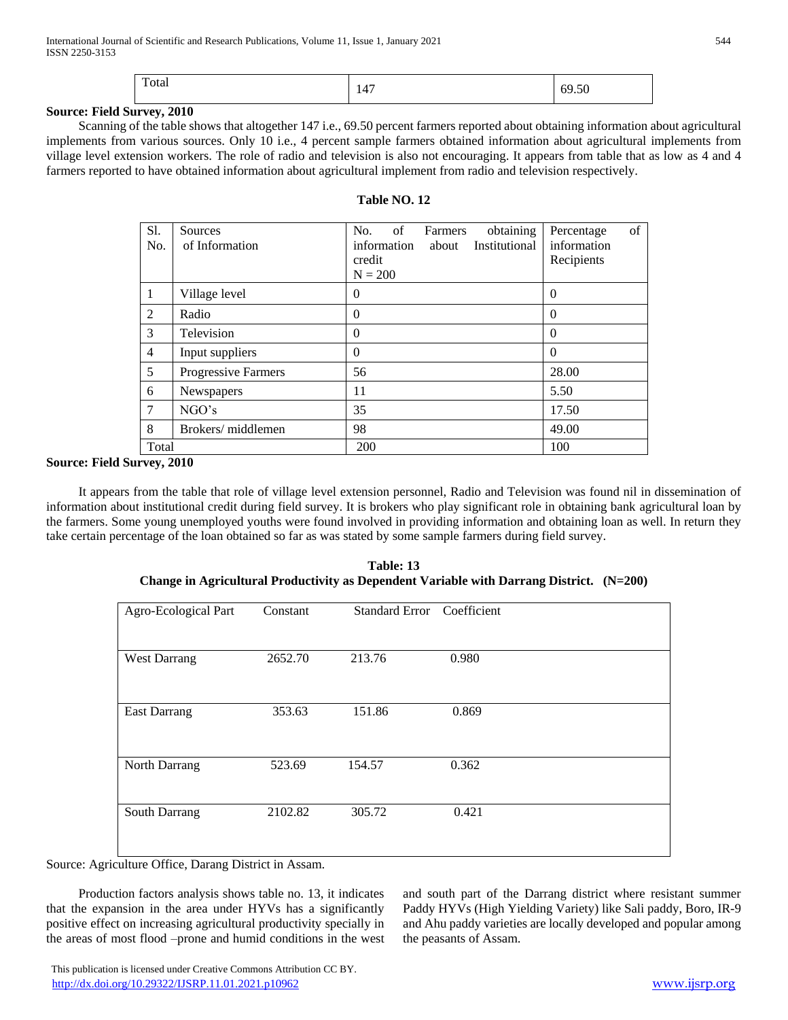| Total | 147 | 69.50 |
|-------|-----|-------|
|-------|-----|-------|

#### **Source: Field Survey, 2010**

 Scanning of the table shows that altogether 147 i.e., 69.50 percent farmers reported about obtaining information about agricultural implements from various sources. Only 10 i.e., 4 percent sample farmers obtained information about agricultural implements from village level extension workers. The role of radio and television is also not encouraging. It appears from table that as low as 4 and 4 farmers reported to have obtained information about agricultural implement from radio and television respectively.

| Table NO. 12 |  |  |
|--------------|--|--|
|--------------|--|--|

| Sl.<br>No.     | Sources<br>of Information  | obtaining<br>of<br>No.<br>Farmers<br>Institutional<br>information<br>about<br>credit<br>$N = 200$ | of<br>Percentage<br>information<br>Recipients |
|----------------|----------------------------|---------------------------------------------------------------------------------------------------|-----------------------------------------------|
| 1              | Village level              | $\theta$                                                                                          | $\Omega$                                      |
| 2              | Radio                      | $\theta$                                                                                          | $\Omega$                                      |
| 3              | Television                 | $\theta$                                                                                          | $\Omega$                                      |
| $\overline{4}$ | Input suppliers            | $\theta$                                                                                          | $\Omega$                                      |
| 5              | <b>Progressive Farmers</b> | 56                                                                                                | 28.00                                         |
| 6              | Newspapers                 | 11                                                                                                | 5.50                                          |
| 7              | NGO's                      | 35                                                                                                | 17.50                                         |
| 8              | Brokers/middlemen          | 98                                                                                                | 49.00                                         |
| Total          |                            | 200                                                                                               | 100                                           |

### **Source: Field Survey, 2010**

 It appears from the table that role of village level extension personnel, Radio and Television was found nil in dissemination of information about institutional credit during field survey. It is brokers who play significant role in obtaining bank agricultural loan by the farmers. Some young unemployed youths were found involved in providing information and obtaining loan as well. In return they take certain percentage of the loan obtained so far as was stated by some sample farmers during field survey.

| Agro-Ecological Part | Constant | Standard Error Coefficient |       |
|----------------------|----------|----------------------------|-------|
| <b>West Darrang</b>  | 2652.70  | 213.76                     | 0.980 |
| <b>East Darrang</b>  | 353.63   | 151.86                     | 0.869 |
| North Darrang        | 523.69   | 154.57                     | 0.362 |
| South Darrang        | 2102.82  | 305.72                     | 0.421 |

**Table: 13 Change in Agricultural Productivity as Dependent Variable with Darrang District. (N=200)**

Source: Agriculture Office, Darang District in Assam.

 Production factors analysis shows table no. 13, it indicates that the expansion in the area under HYVs has a significantly positive effect on increasing agricultural productivity specially in the areas of most flood –prone and humid conditions in the west

and south part of the Darrang district where resistant summer Paddy HYVs (High Yielding Variety) like Sali paddy, Boro, IR-9 and Ahu paddy varieties are locally developed and popular among the peasants of Assam.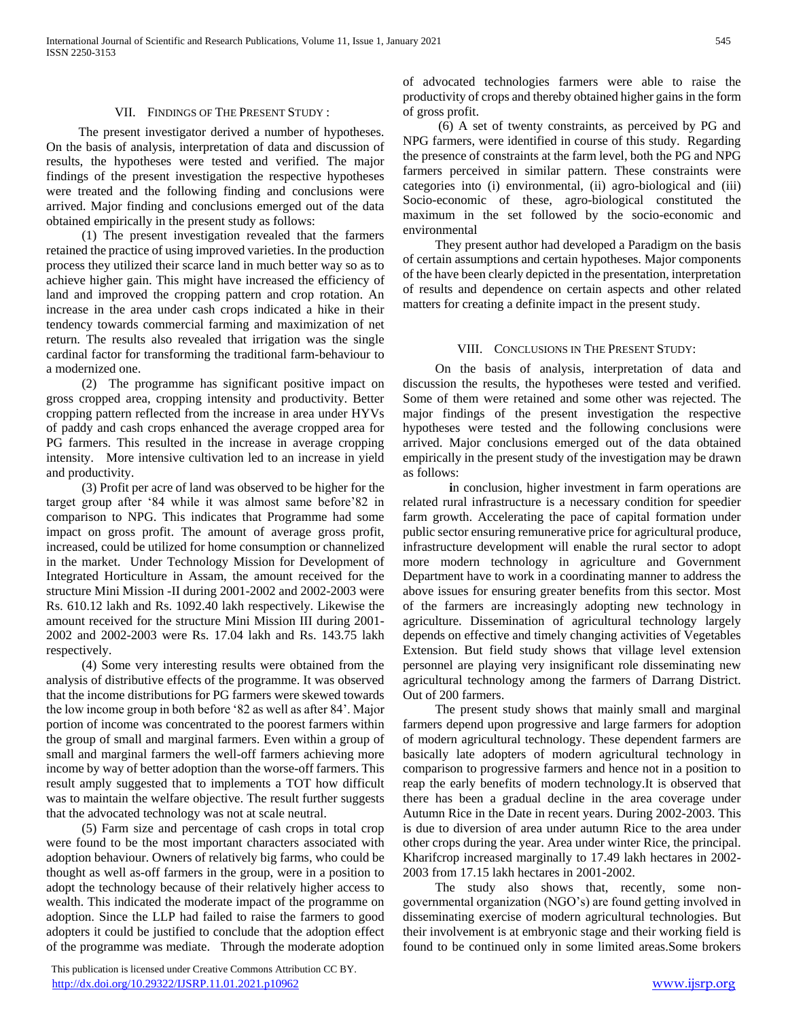#### VII. FINDINGS OF THE PRESENT STUDY :

 The present investigator derived a number of hypotheses. On the basis of analysis, interpretation of data and discussion of results, the hypotheses were tested and verified. The major findings of the present investigation the respective hypotheses were treated and the following finding and conclusions were arrived. Major finding and conclusions emerged out of the data obtained empirically in the present study as follows:

 (1) The present investigation revealed that the farmers retained the practice of using improved varieties. In the production process they utilized their scarce land in much better way so as to achieve higher gain. This might have increased the efficiency of land and improved the cropping pattern and crop rotation. An increase in the area under cash crops indicated a hike in their tendency towards commercial farming and maximization of net return. The results also revealed that irrigation was the single cardinal factor for transforming the traditional farm-behaviour to a modernized one.

 (2) The programme has significant positive impact on gross cropped area, cropping intensity and productivity. Better cropping pattern reflected from the increase in area under HYVs of paddy and cash crops enhanced the average cropped area for PG farmers. This resulted in the increase in average cropping intensity. More intensive cultivation led to an increase in yield and productivity.

 (3) Profit per acre of land was observed to be higher for the target group after '84 while it was almost same before'82 in comparison to NPG. This indicates that Programme had some impact on gross profit. The amount of average gross profit, increased, could be utilized for home consumption or channelized in the market. Under Technology Mission for Development of Integrated Horticulture in Assam, the amount received for the structure Mini Mission -II during 2001-2002 and 2002-2003 were Rs. 610.12 lakh and Rs. 1092.40 lakh respectively. Likewise the amount received for the structure Mini Mission III during 2001- 2002 and 2002-2003 were Rs. 17.04 lakh and Rs. 143.75 lakh respectively.

 (4) Some very interesting results were obtained from the analysis of distributive effects of the programme. It was observed that the income distributions for PG farmers were skewed towards the low income group in both before '82 as well as after 84'. Major portion of income was concentrated to the poorest farmers within the group of small and marginal farmers. Even within a group of small and marginal farmers the well-off farmers achieving more income by way of better adoption than the worse-off farmers. This result amply suggested that to implements a TOT how difficult was to maintain the welfare objective. The result further suggests that the advocated technology was not at scale neutral.

 (5) Farm size and percentage of cash crops in total crop were found to be the most important characters associated with adoption behaviour. Owners of relatively big farms, who could be thought as well as-off farmers in the group, were in a position to adopt the technology because of their relatively higher access to wealth. This indicated the moderate impact of the programme on adoption. Since the LLP had failed to raise the farmers to good adopters it could be justified to conclude that the adoption effect of the programme was mediate. Through the moderate adoption

 This publication is licensed under Creative Commons Attribution CC BY. <http://dx.doi.org/10.29322/IJSRP.11.01.2021.p10962> [www.ijsrp.org](http://ijsrp.org/)

of advocated technologies farmers were able to raise the productivity of crops and thereby obtained higher gains in the form of gross profit.

 (6) A set of twenty constraints, as perceived by PG and NPG farmers, were identified in course of this study. Regarding the presence of constraints at the farm level, both the PG and NPG farmers perceived in similar pattern. These constraints were categories into (i) environmental, (ii) agro-biological and (iii) Socio-economic of these, agro-biological constituted the maximum in the set followed by the socio-economic and environmental

 They present author had developed a Paradigm on the basis of certain assumptions and certain hypotheses. Major components of the have been clearly depicted in the presentation, interpretation of results and dependence on certain aspects and other related matters for creating a definite impact in the present study.

#### VIII. CONCLUSIONS IN THE PRESENT STUDY:

 On the basis of analysis, interpretation of data and discussion the results, the hypotheses were tested and verified. Some of them were retained and some other was rejected. The major findings of the present investigation the respective hypotheses were tested and the following conclusions were arrived. Major conclusions emerged out of the data obtained empirically in the present study of the investigation may be drawn as follows:

**i**n conclusion, higher investment in farm operations are related rural infrastructure is a necessary condition for speedier farm growth. Accelerating the pace of capital formation under public sector ensuring remunerative price for agricultural produce, infrastructure development will enable the rural sector to adopt more modern technology in agriculture and Government Department have to work in a coordinating manner to address the above issues for ensuring greater benefits from this sector. Most of the farmers are increasingly adopting new technology in agriculture. Dissemination of agricultural technology largely depends on effective and timely changing activities of Vegetables Extension. But field study shows that village level extension personnel are playing very insignificant role disseminating new agricultural technology among the farmers of Darrang District. Out of 200 farmers.

 The present study shows that mainly small and marginal farmers depend upon progressive and large farmers for adoption of modern agricultural technology. These dependent farmers are basically late adopters of modern agricultural technology in comparison to progressive farmers and hence not in a position to reap the early benefits of modern technology.It is observed that there has been a gradual decline in the area coverage under Autumn Rice in the Date in recent years. During 2002-2003. This is due to diversion of area under autumn Rice to the area under other crops during the year. Area under winter Rice, the principal. Kharifcrop increased marginally to 17.49 lakh hectares in 2002- 2003 from 17.15 lakh hectares in 2001-2002.

 The study also shows that, recently, some nongovernmental organization (NGO's) are found getting involved in disseminating exercise of modern agricultural technologies. But their involvement is at embryonic stage and their working field is found to be continued only in some limited areas.Some brokers